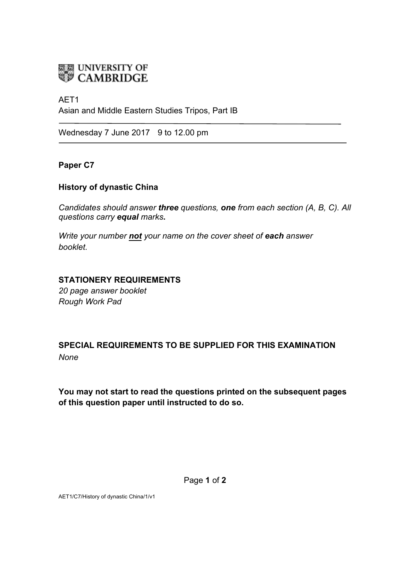

#### AET1

Asian and Middle Eastern Studies Tripos, Part IB

Wednesday 7 June 2017 9 to 12.00 pm

### **Paper C7**

### **History of dynastic China**

*Candidates should answer three questions, one from each section (A, B, C). All questions carry equal marks***.**

*Write your number not your name on the cover sheet of each answer booklet.* 

### **STATIONERY REQUIREMENTS**

*20 page answer booklet Rough Work Pad*

## **SPECIAL REQUIREMENTS TO BE SUPPLIED FOR THIS EXAMINATION** *None*

**You may not start to read the questions printed on the subsequent pages of this question paper until instructed to do so.**

Page **1** of **2**

AET1/C7/History of dynastic China/1/v1